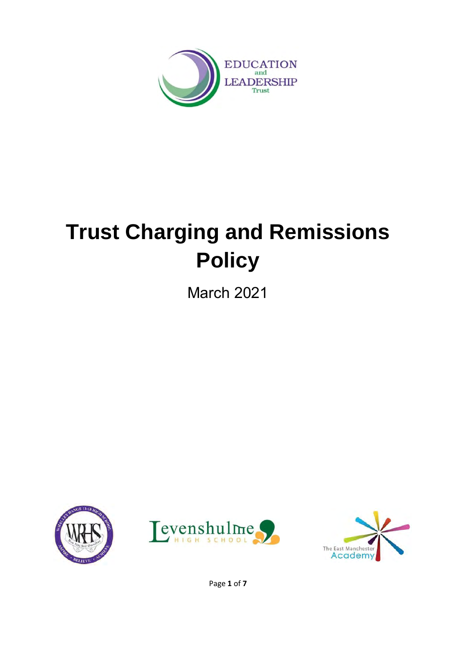

# **Trust Charging and Remissions Policy**

March 2021







Page **1** of **7**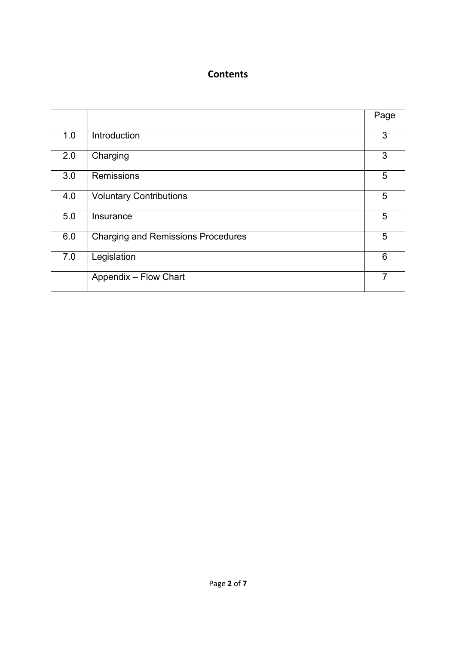#### **Contents**

|     |                                           | Page |
|-----|-------------------------------------------|------|
| 1.0 | Introduction                              | 3    |
| 2.0 | Charging                                  | 3    |
| 3.0 | <b>Remissions</b>                         | 5    |
| 4.0 | <b>Voluntary Contributions</b>            | 5    |
| 5.0 | Insurance                                 | 5    |
| 6.0 | <b>Charging and Remissions Procedures</b> | 5    |
| 7.0 | Legislation                               | 6    |
|     | Appendix - Flow Chart                     | 7    |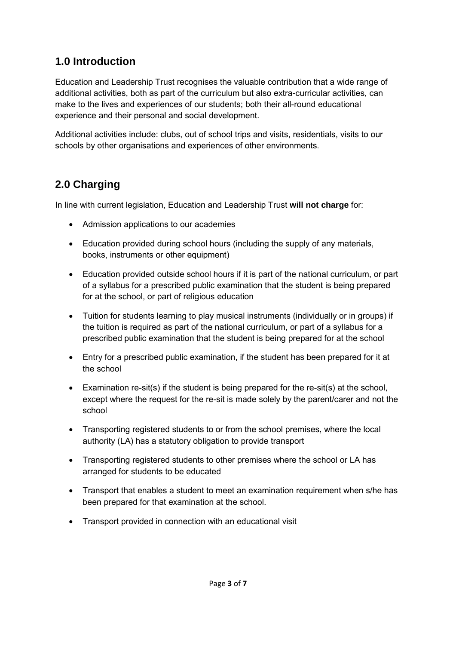## **1.0 Introduction**

Education and Leadership Trust recognises the valuable contribution that a wide range of additional activities, both as part of the curriculum but also extra-curricular activities, can make to the lives and experiences of our students; both their all-round educational experience and their personal and social development.

Additional activities include: clubs, out of school trips and visits, residentials, visits to our schools by other organisations and experiences of other environments.

# **2.0 Charging**

In line with current legislation, Education and Leadership Trust **will not charge** for:

- Admission applications to our academies
- Education provided during school hours (including the supply of any materials, books, instruments or other equipment)
- Education provided outside school hours if it is part of the national curriculum, or part of a syllabus for a prescribed public examination that the student is being prepared for at the school, or part of religious education
- Tuition for students learning to play musical instruments (individually or in groups) if the tuition is required as part of the national curriculum, or part of a syllabus for a prescribed public examination that the student is being prepared for at the school
- Entry for a prescribed public examination, if the student has been prepared for it at the school
- Examination re-sit(s) if the student is being prepared for the re-sit(s) at the school, except where the request for the re-sit is made solely by the parent/carer and not the school
- Transporting registered students to or from the school premises, where the local authority (LA) has a statutory obligation to provide transport
- Transporting registered students to other premises where the school or LA has arranged for students to be educated
- Transport that enables a student to meet an examination requirement when s/he has been prepared for that examination at the school.
- Transport provided in connection with an educational visit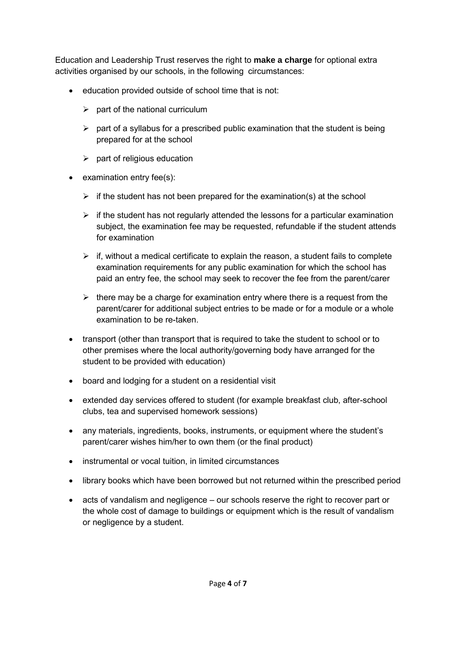Education and Leadership Trust reserves the right to **make a charge** for optional extra activities organised by our schools, in the following circumstances:

- education provided outside of school time that is not:
	- $\triangleright$  part of the national curriculum
	- $\triangleright$  part of a syllabus for a prescribed public examination that the student is being prepared for at the school
	- $\triangleright$  part of religious education
- examination entry fee(s):
	- $\triangleright$  if the student has not been prepared for the examination(s) at the school
	- $\triangleright$  if the student has not regularly attended the lessons for a particular examination subject, the examination fee may be requested, refundable if the student attends for examination
	- $\triangleright$  if, without a medical certificate to explain the reason, a student fails to complete examination requirements for any public examination for which the school has paid an entry fee, the school may seek to recover the fee from the parent/carer
	- $\triangleright$  there may be a charge for examination entry where there is a request from the parent/carer for additional subject entries to be made or for a module or a whole examination to be re-taken.
- transport (other than transport that is required to take the student to school or to other premises where the local authority/governing body have arranged for the student to be provided with education)
- board and lodging for a student on a residential visit
- extended day services offered to student (for example breakfast club, after-school clubs, tea and supervised homework sessions)
- any materials, ingredients, books, instruments, or equipment where the student's parent/carer wishes him/her to own them (or the final product)
- instrumental or vocal tuition, in limited circumstances
- library books which have been borrowed but not returned within the prescribed period
- acts of vandalism and negligence our schools reserve the right to recover part or the whole cost of damage to buildings or equipment which is the result of vandalism or negligence by a student.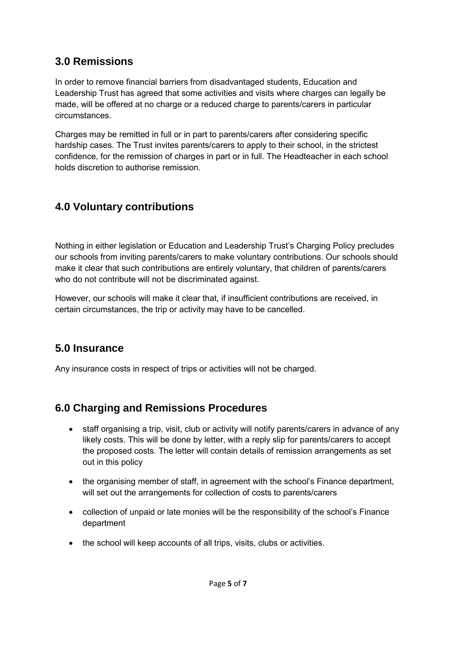#### **3.0 Remissions**

In order to remove financial barriers from disadvantaged students, Education and Leadership Trust has agreed that some activities and visits where charges can legally be made, will be offered at no charge or a reduced charge to parents/carers in particular circumstances.

Charges may be remitted in full or in part to parents/carers after considering specific hardship cases. The Trust invites parents/carers to apply to their school, in the strictest confidence, for the remission of charges in part or in full. The Headteacher in each school holds discretion to authorise remission.

## **4.0 Voluntary contributions**

Nothing in either legislation or Education and Leadership Trust's Charging Policy precludes our schools from inviting parents/carers to make voluntary contributions. Our schools should make it clear that such contributions are entirely voluntary, that children of parents/carers who do not contribute will not be discriminated against.

However, our schools will make it clear that, if insufficient contributions are received, in certain circumstances, the trip or activity may have to be cancelled.

#### **5.0 Insurance**

Any insurance costs in respect of trips or activities will not be charged.

#### **6.0 Charging and Remissions Procedures**

- staff organising a trip, visit, club or activity will notify parents/carers in advance of any likely costs. This will be done by letter, with a reply slip for parents/carers to accept the proposed costs. The letter will contain details of remission arrangements as set out in this policy
- the organising member of staff, in agreement with the school's Finance department, will set out the arrangements for collection of costs to parents/carers
- collection of unpaid or late monies will be the responsibility of the school's Finance department
- the school will keep accounts of all trips, visits, clubs or activities.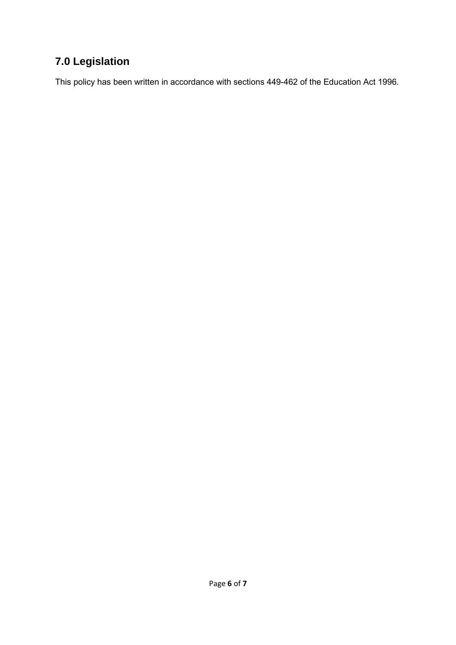# **7.0 Legislation**

This policy has been written in accordance with sections 449-462 of the Education Act 1996.